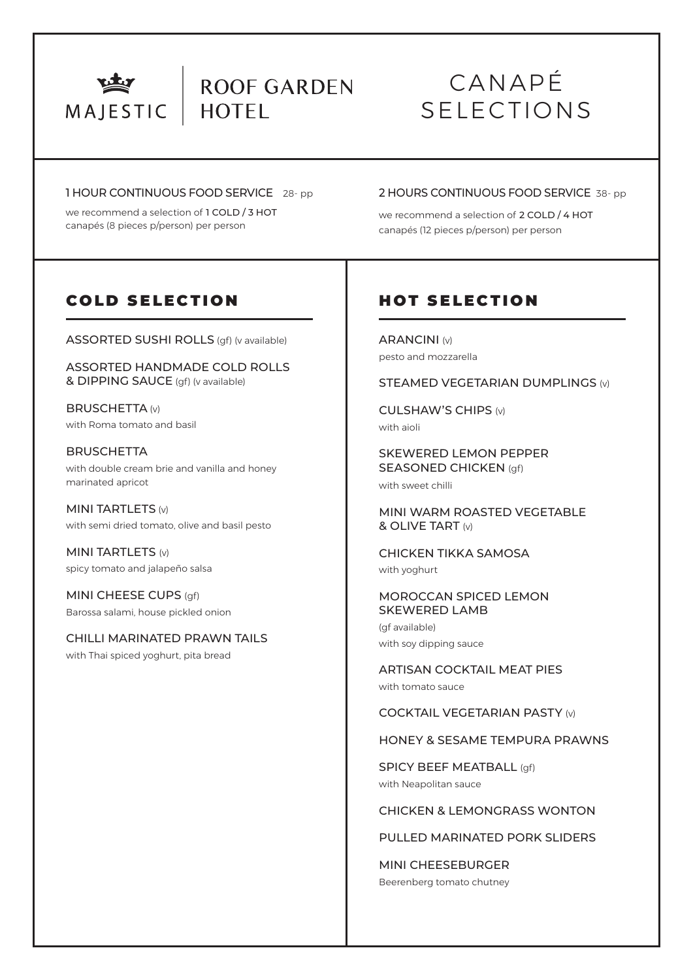

# ROOF GARDEN **HOTEL**

# CANAPÉ SELECTIONS

#### 1 HOUR CONTINUOUS FOOD SERVICE 28- pp

we recommend a selection of 1 COLD / 3 HOT canapés (8 pieces p/person) per person

## 2 HOURS CONTINUOUS FOOD SERVICE 38- pp

we recommend a selection of 2 COLD / 4 HOT canapés (12 pieces p/person) per person

# COLD SELECTION

ASSORTED SUSHI ROLLS (gf) (v available)

ASSORTED HANDMADE COLD ROLLS & DIPPING SAUCE (gf) (v available)

BRUSCHETTA (v) with Roma tomato and basil

**BRUSCHETTA** with double cream brie and vanilla and honey marinated apricot

MINI TARTLETS (v) with semi dried tomato, olive and basil pesto

MINI TARTLETS (v) spicy tomato and jalapeño salsa

MINI CHEESE CUPS (qf) Barossa salami, house pickled onion

CHILLI MARINATED PRAWN TAILS with Thai spiced yoghurt, pita bread

# HOT SELECTION

ARANCINI (v) pesto and mozzarella

STEAMED VEGETARIAN DUMPLINGS (v)

CULSHAW'S CHIPS (v) with aioli

SKEWERED LEMON PEPPER SEASONED CHICKEN (gf) with sweet chilli

MINI WARM ROASTED VEGETABLE & OLIVE TART (v)

CHICKEN TIKKA SAMOSA with yoghurt

MOROCCAN SPICED LEMON SKEWERED LAMB

(gf available) with soy dipping sauce

ARTISAN COCKTAIL MEAT PIES with tomato sauce

COCKTAIL VEGETARIAN PASTY (v)

HONEY & SESAME TEMPURA PRAWNS

SPICY BEEF MEATBALL (qf) with Neapolitan sauce

## CHICKEN & LEMONGRASS WONTON

PULLED MARINATED PORK SLIDERS

MINI CHEESEBURGER Beerenberg tomato chutney